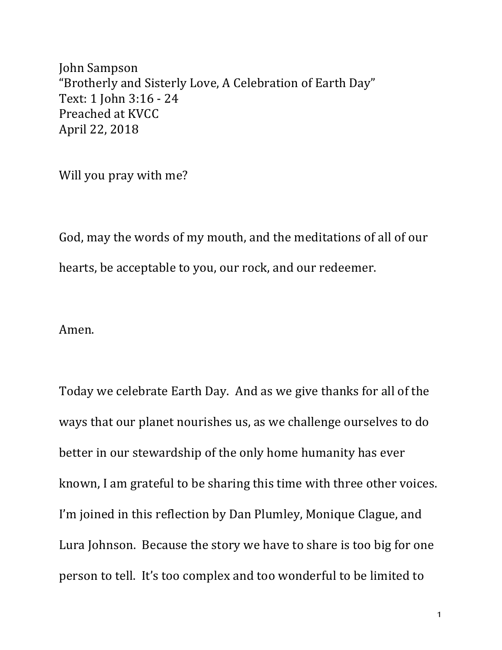John Sampson "Brotherly and Sisterly Love, A Celebration of Earth Day" Text: 1 John 3:16 - 24 Preached at KVCC April 22, 2018

Will you pray with me?

God, may the words of my mouth, and the meditations of all of our hearts, be acceptable to you, our rock, and our redeemer.

Amen.

Today we celebrate Earth Day. And as we give thanks for all of the ways that our planet nourishes us, as we challenge ourselves to do better in our stewardship of the only home humanity has ever known, I am grateful to be sharing this time with three other voices. I'm joined in this reflection by Dan Plumley, Monique Clague, and Lura Johnson. Because the story we have to share is too big for one person to tell. It's too complex and too wonderful to be limited to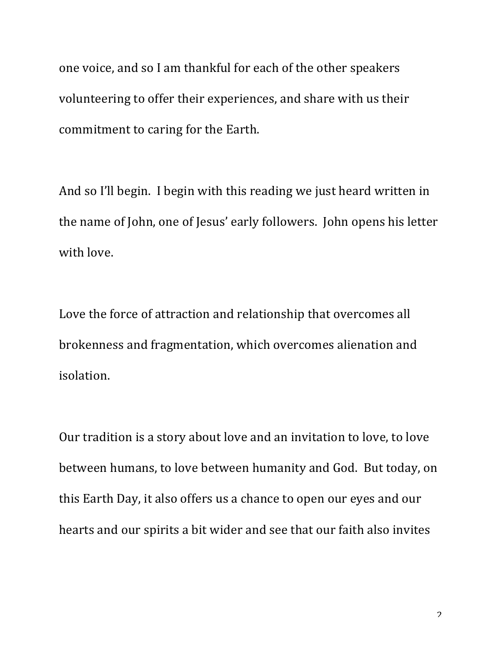one voice, and so I am thankful for each of the other speakers volunteering to offer their experiences, and share with us their commitment to caring for the Earth.

And so I'll begin. I begin with this reading we just heard written in the name of John, one of Jesus' early followers. John opens his letter with love.

Love the force of attraction and relationship that overcomes all brokenness and fragmentation, which overcomes alienation and isolation.

Our tradition is a story about love and an invitation to love, to love between humans, to love between humanity and God. But today, on this Earth Day, it also offers us a chance to open our eyes and our hearts and our spirits a bit wider and see that our faith also invites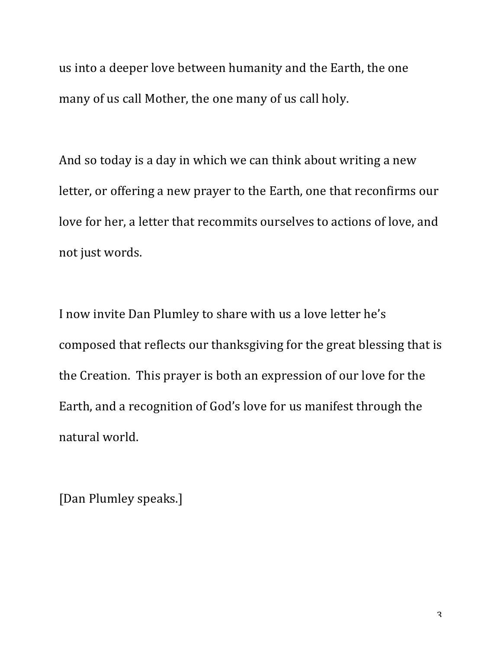us into a deeper love between humanity and the Earth, the one many of us call Mother, the one many of us call holy.

And so today is a day in which we can think about writing a new letter, or offering a new prayer to the Earth, one that reconfirms our love for her, a letter that recommits ourselves to actions of love, and not just words.

I now invite Dan Plumley to share with us a love letter he's composed that reflects our thanksgiving for the great blessing that is the Creation. This prayer is both an expression of our love for the Earth, and a recognition of God's love for us manifest through the natural world.

[Dan Plumley speaks.]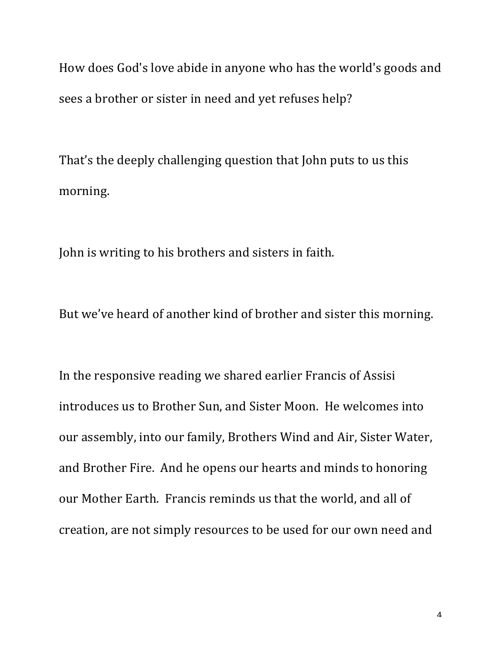How does God's love abide in anyone who has the world's goods and sees a brother or sister in need and yet refuses help?

That's the deeply challenging question that John puts to us this morning.

John is writing to his brothers and sisters in faith.

But we've heard of another kind of brother and sister this morning.

In the responsive reading we shared earlier Francis of Assisi introduces us to Brother Sun, and Sister Moon. He welcomes into our assembly, into our family, Brothers Wind and Air, Sister Water, and Brother Fire. And he opens our hearts and minds to honoring our Mother Earth. Francis reminds us that the world, and all of creation, are not simply resources to be used for our own need and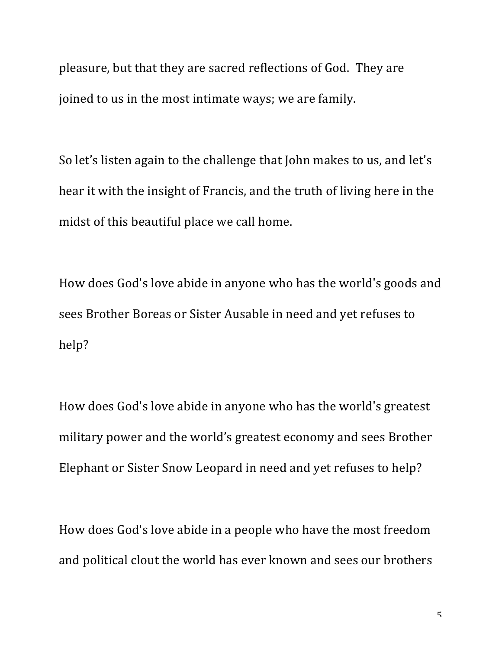pleasure, but that they are sacred reflections of God. They are joined to us in the most intimate ways; we are family.

So let's listen again to the challenge that John makes to us, and let's hear it with the insight of Francis, and the truth of living here in the midst of this beautiful place we call home.

How does God's love abide in anyone who has the world's goods and sees Brother Boreas or Sister Ausable in need and yet refuses to help?

How does God's love abide in anyone who has the world's greatest military power and the world's greatest economy and sees Brother Elephant or Sister Snow Leopard in need and yet refuses to help?

How does God's love abide in a people who have the most freedom and political clout the world has ever known and sees our brothers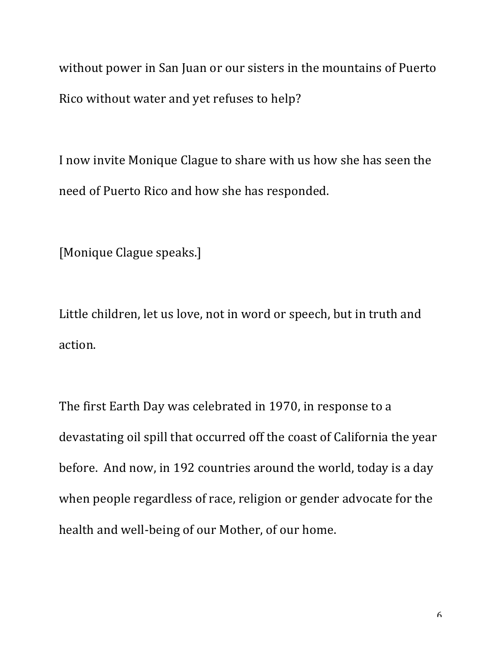without power in San Juan or our sisters in the mountains of Puerto Rico without water and yet refuses to help?

I now invite Monique Clague to share with us how she has seen the need of Puerto Rico and how she has responded.

[Monique Clague speaks.]

Little children, let us love, not in word or speech, but in truth and action.

The first Earth Day was celebrated in 1970, in response to a devastating oil spill that occurred off the coast of California the year before. And now, in 192 countries around the world, today is a day when people regardless of race, religion or gender advocate for the health and well-being of our Mother, of our home.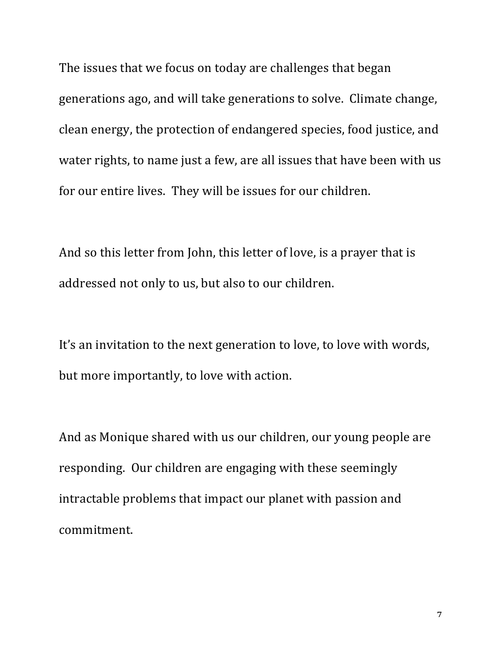The issues that we focus on today are challenges that began generations ago, and will take generations to solve. Climate change, clean energy, the protection of endangered species, food justice, and water rights, to name just a few, are all issues that have been with us for our entire lives. They will be issues for our children.

And so this letter from John, this letter of love, is a prayer that is addressed not only to us, but also to our children.

It's an invitation to the next generation to love, to love with words, but more importantly, to love with action.

And as Monique shared with us our children, our young people are responding. Our children are engaging with these seemingly intractable problems that impact our planet with passion and commitment.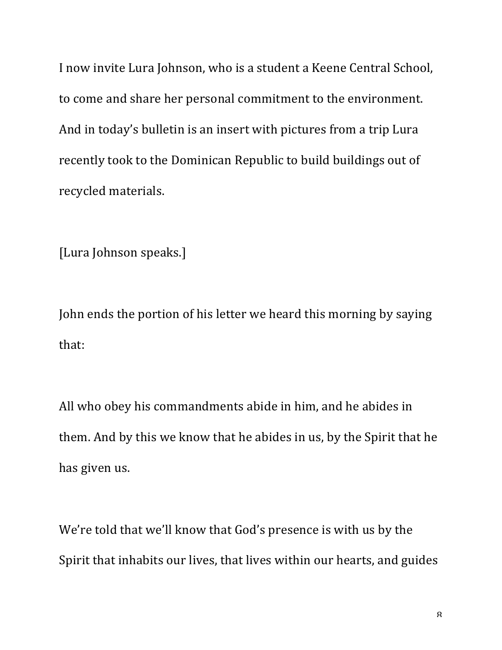I now invite Lura Johnson, who is a student a Keene Central School, to come and share her personal commitment to the environment. And in today's bulletin is an insert with pictures from a trip Lura recently took to the Dominican Republic to build buildings out of recycled materials.

[Lura Johnson speaks.]

John ends the portion of his letter we heard this morning by saying that:

All who obey his commandments abide in him, and he abides in them. And by this we know that he abides in us, by the Spirit that he has given us.

We're told that we'll know that God's presence is with us by the Spirit that inhabits our lives, that lives within our hearts, and guides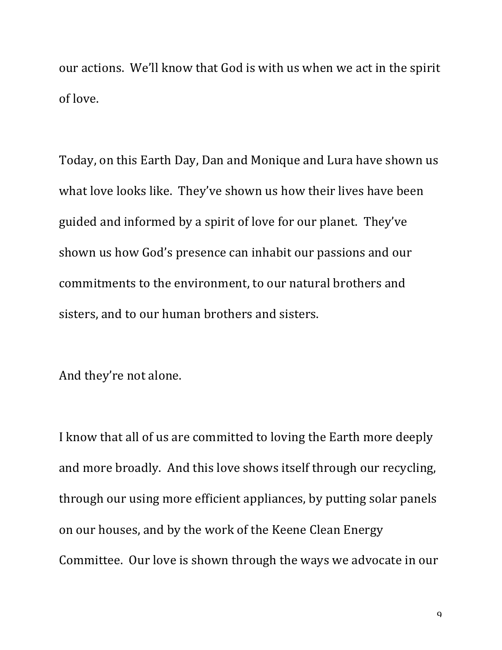our actions. We'll know that God is with us when we act in the spirit of love.

Today, on this Earth Day, Dan and Monique and Lura have shown us what love looks like. They've shown us how their lives have been guided and informed by a spirit of love for our planet. They've shown us how God's presence can inhabit our passions and our commitments to the environment, to our natural brothers and sisters, and to our human brothers and sisters.

And they're not alone.

I know that all of us are committed to loving the Earth more deeply and more broadly. And this love shows itself through our recycling, through our using more efficient appliances, by putting solar panels on our houses, and by the work of the Keene Clean Energy Committee. Our love is shown through the ways we advocate in our